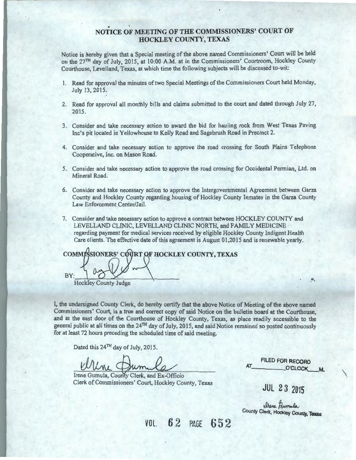### NOTICE OF MEETING OF THE COMMISSIONERS' COURT OF HOCKLEY COUNTY, TEXAS

Notice is hereby given that a Special meeting of the above named Commissioners' Court will be held on the 27<sup>TH</sup> day of July, 2015, at 10:00 A.M. at in the Commissioners' Courtroom, Hockley County Courthouse, Levelland, Texas, at which time the following subjects will. be discussed to-wit:

- 1. Read for approval the minutes of two Special Meetings of the Commissioners Court held Monday, July 13, 2015.
- 2. Read for approval all monthly bills and claims submitted to the court and dated through July 27, 2015.
- 3. Consider and take necessary action to award the bid for hauling rock from West Texas Paving Inc's pit located in Yellowhouse to Kelly Road and Sagebrush Road in Precinct 2.
- 4. Consider and take necessary action to approve the road crossing for South Plains Telephone Cooperative, Inc. on Mason Road.
- 5 .. Consider and take necessary action to approve the road crossing for Occidental Permian, Ltd. on Mineral Road.
- 6. Consider and take necessary action to approve the Intergovernmental Agreement between Garza County and Hockley County regarding housing of Hockley County Inmates in the Garza County Law Enforcement Center/Jail.
- 7. Consider and take necessary action to approve a contract between HOCKLEY COUNTY and LEVELLAND CLINIC, LEVELLAND CLINIC NORTH, and FAMILY MEDICINE regarding payment for medical services received by eligible Hockley County Indigent Health Care clients. The effective date of this agreement is August 01,2015 and is renewable yearly.

COMMISSIONERS' COURT OF HOCKLEY COUNTY, TEXAS BY Hockley County Judge

I, the undersigned County Clerk, do hereby certify that the above Notice of Meeting of the above named Commissioners' Court, is a true and correct copy of said Notice on the bulletin board at the Courthouse, and at the east door of the Courthouse of Hockley County, Texas, as place readily accessible to the general public at all times on the 24<sup>TH</sup> day of July, 2015, and said Notice remained so posted continuously for at least 72 hours preceding the scheduled time of said meeting.

Dated this 24<sup>TH</sup> day of July, 2015.

Irene Gumula, County Clerk, and Ex-Officio Clerk of Commissioners' Court, Hockley County, Texas

FILED FOR RECORD<br>  $AT$ <sup>O'CLOCK</sup> M.

聊

 $\overline{\phantom{a}}$ 

JUL 2 3 2015

elsene Aumula County Clerk, Hockley County, Texas

VOL. 62 PAGE 652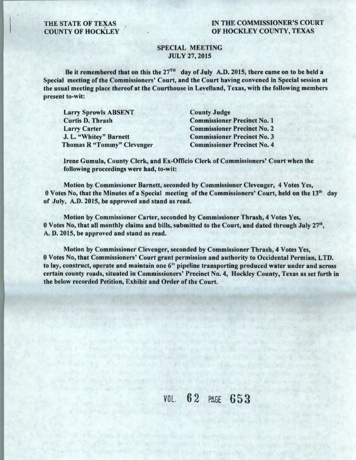# THE STATE OF TEXAS<br>COUNTY OF HOCKLEY

#### . IN THE COMMISSIONER'S COURT OF HOCKLEY COUNTY, TEXAS

#### SPECIAL MEETING JULY 27, 2015

Be it remembered that on this the  $27<sup>TH</sup>$  day of July A.D. 2015, there came on to be held a Special meeting of the Commissioners' Court, and the Court having convened in Special session at the usual meeting place thereof at the Courthouse in Levelland, Texas, with the following members present to-wit:

Larry Sprowls ABSENT Curtis D. Thrash Larry Carter J. L. "Whitey" Barnett Thomas R "Tommy" Clevenger

County Judge Commissioner Precinct No. 1 Commissioner Precinct No. 2 Commissioner Precinct No. 3 Commissioner Precinct No. 4

Irene Gumula, County Clerk, and Ex-Officio Clerk of Commissioners' Court when the following proceedings were had, to-wit:

Motion by Commissioner Barnett, seconded by Commissioner Clevenger, 4 Votes Yes, 0 Votes No, that the Minutes of a Special meeting of the Commissioners' Court, held on the 13<sup>th</sup> day of July, A.D. 2015, be approved and stand as read.

Motion by Commissioner Carter, seconded by Commissioner Thrash, 4 Votes Yes,  $0$  Votes No, that all monthly claims and bills, submitted to the Court, and dated through July 27<sup>th</sup>, A. D. 2015, be approved and stand as read.

Motion by Commissioner Clevenger, seconded by Commissioner Thrash, 4 Votes Yes, 0 Votes No, that Commissioners' Court grant permission and authority to Occidental Permian, LTD. to lay, construct, operate and maintain one 6" pipeline transporting produced water under and across certain county roads, situated in Commissioners' Precinct No. 4, Hockley County, Texas as set forth in the below recorded Petition, Exhibit and Order of the Court.

where the distribution of  $\mathcal{L}_\mathcal{A}$  and  $\mathcal{L}_\mathcal{A}$  are  $\mathcal{L}_\mathcal{A}$ 

the state and state the contribution of the state of the state of the state of the state of

even in 1994 to the court of the same for the second to the control of the control of the control of the control of the control of the control of the control of the control of the control of the control of the control of t medicine masterize development and many service and controlled the properties

controls and cold for their controls are to it has environments.

Southorn of the continuous and the state of the

VOL. 62 PAGE 653

said is a plength in man by a factoring to bushing to a construction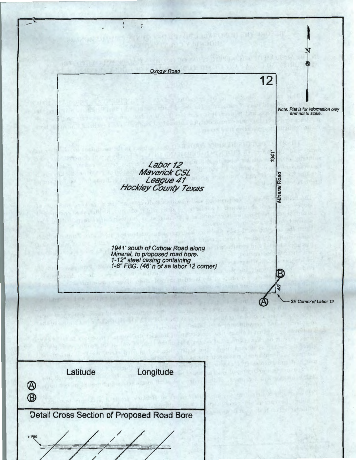$\ddot{\phantom{a}}$  $\cdot$  5 OVERLENT **TERMINE** Oxbow Road 12 Note: Plat is for information only and not to scale.  $1941'$ Labor<sub>12</sub> Maverick CSL Road League41 Hockley county Texas 1941' south of Oxbow Road along Mineral, to proposed road bore. 1-12" steel casing containing 1-6" FBG. (46' n of se labor 12 comer) io ~~---~~~~~~~~~~~~~~~~---- 'If" SE Comer of Labor 12 Longitude Latitude ® ® Detail Cross Section of Proposed Road Bore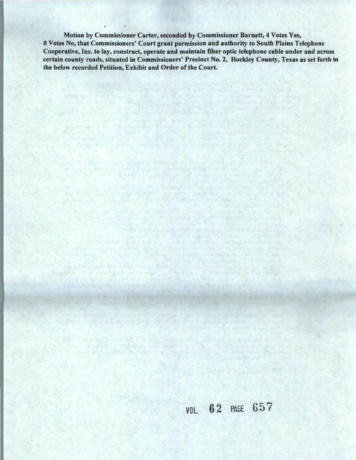Motion by Commissioner Carter, seconded by Commissioner Barnett, 4 Votes Yes, 0 Votes No, that Commissioners' Court grant permission and authority to South Plains Telephone Cooperative, Inc. to lay, construct, operate and maintain fiber optic telephone cable under and across certain county roads, situated in Commissioners' Precinct No. 2, Hockley County, Texas as set forth in the below recorded Petition, Exhibit and Order of the Court.

of the second control and an end of the second control of the second

### VOL. 62 PAGE 657

a line with single property and the same of starting of a

10 h = participants of the month for a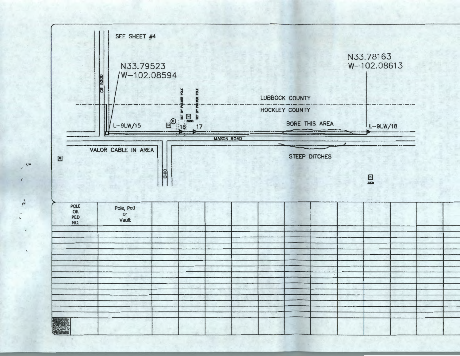

·-

 $\boldsymbol{\epsilon}$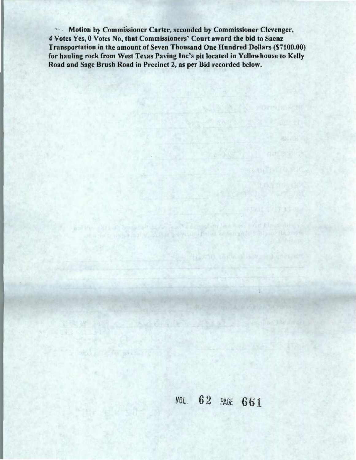~-· . Motion by Commissioner Carter, seconded by Commissioner Clevenger, 4 Votes Yes, 0 Votes No, that Commissioners' Court award the bid to Saenz Transportation in the amount of Seven Thousand One Hundred Dollars (\$7100.00) for hauling rock from West Texas Paving Inc's pit located in Yellowhouse to Kelly Road and Sage Brush Road in Precinct 2, as per Bid recorded below.

**VOL. 62 PAGE 661** 

FEATURE STATES

C. A complaint final have foul Elman during

on the matter hand will share an advance of them we find a position of the second state of the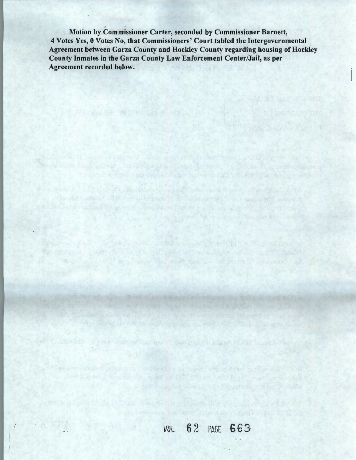Motion by Commissioner Carter, seconded by Commissioner Barnett, 4 Votes Yes, 0 Votes No, that Commissioners' Court tabled the Intergovernmental Agreement between Garza County and Hockley County regarding housing of Hockley County Inmates in the Garza County Law Enforcement Center/Jail, as per Agreement recorded below.

de con rushi condi quineae i distinzione le filiame si messo, i culto del competizione.

which is the experimental first process of the contract of the state of a state of the state of the contract

a bould not a finally selected and solve the country is as what is a final control of The continue, where the class of the part and the formulation and all the state of the state

1320 Control in hour comments in the off span a site in Figure 1732 To see the set

en a les sant la deux la vie de la vie de la deux de la de la de la vie de la vie de la vie de with a main  $\mathbb{E}_{\mathcal{A}}$  and  $\mathbb{E}_{\mathcal{A}}$  ,  $\mathbb{E}_{\mathcal{A}}$  ,  $\mathcal{A}$  ,  $\mathcal{A}$  ,  $\mathcal{A}$  ,  $\mathcal{A}$  ,  $\mathcal{A}$  ,  $\mathcal{A}$  ,  $\mathcal{A}$  ,  $\mathcal{A}$  ,  $\mathcal{A}$  ,  $\mathcal{A}$ 

the construction of the construction of the construction of the construction of the con-

and the compact that also has a compact to company and

but it was the same that we have a series of the state of the state of well-

**VOL. 62 PAGE 663** 

the universal quantum summary and complete and head with the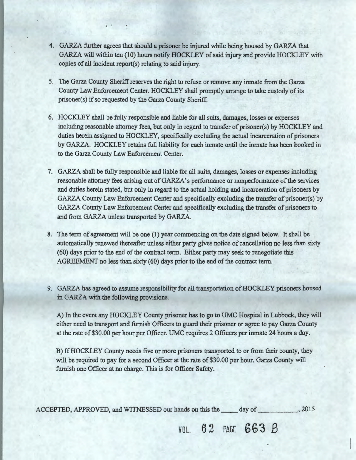- 4. GARZA further agrees that should a prisoner be injured while being housed by GARZA that GARZA will within ten (10) hours notify HOCKLEY of said injury and provide HOCKLEY with copies of all incident report(s) relating to said injury.
- 5. The Garza County Sheriff reserves the right to refuse or remove any inmate from the Garza County Law Enforcement Center. HOCKLEY shall promptly arrange to take custody of its prisoner(s) if so requested by the Garza County Sheriff.
- 6. HOCKLEY shall be fully responsible and liable for all suits, damages, losses or expenses including reasonable attorney fees, but only in regard to transfer of prisoner(s) by HOCKLEY and duties herein assigned to HOCKLEY, specifically excluding the actual incarceration of prisoners by GARZA. HOCKLEY retains full liability for each inmate until the inmate has been booked in to the Garza County Law Enforcement Center.
- 7. GARZA shall be fully responsible and liable for all suits, damages, losses or expenses including reasonable attorney fees arising out of GARZA's performance or nonperformance of the services and duties herein stated, but only in regard to the actual holding and incarceration of prisoners by GARZA County Law Enforcement Center and specifically excluding the transfer of prisoner(s) by GARZA County Law Enforcement Center and specifically excluding the transfer of prisoners to and from GARZA unless transported by GARZA.
- 8. The term of agreement will be one (1) year commencing on the date signed below. It shall be automatically renewed thereafter unless either party gives notice of cancellation no less than sixty (60) days prior to the end of the contract term. Either party may seek to renegotiate this AGREEMENT no less than sixty (60) days prior to the end of the contract term.
- 9. GARZA has agreed to assume responsibility for all transportation of HOCKLEY prisoners housed in GARZA with the following provisions.

A) In the event any HOCKLEY County prisoner has to go to UMC Hospital in Lubbock, they will either need to transport and furnish Officers to guard their prisoner or agree to pay Garza County at the rate of \$30.00 per hour per Officer. UMC requires 2 Officers per inmate 24 hours a day.

B) If HOCKLEY County needs five or more prisoners transported to or from their county, they will be required to pay for a second Officer at the rate of \$30.00 per hour. Garza County will furnish one Officer at no charge. This is for Officer Safety.

ACCEPTED, APPROVED, and WITNESSED our hands on this the \_\_\_\_ day of \_\_\_\_\_\_\_\_\_\_, 2015

**VOL. 62 PAGE 663 B**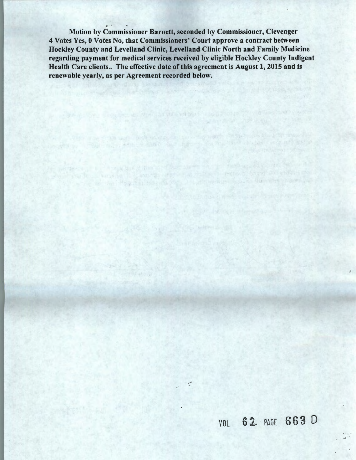$\ddot{\phantom{a}}$ Motion by Commissioner Barnett, seconded by Commissioner, Clevenger 4 Votes Yes, 0 Votes No, that Commissioners' Court approve a contract between Hockley County and Levelland Clinic, Levelland Clinic North and Family Medicine regarding payment for medical services received by eligible Hockley County Indigent Health Care clients.. The effective date of this agreement is August 1, 2015 and is renewable yearly, as per Agreement recorded below.

for a tre degree of the brought confident of the state of the

en de santante de la companya de la companya de la companya de la companya de la companya de la companya del c<br>La companya de la companya de la companya de la companya de la companya de la companya de la companya de la co

C.

the state of a separation and complete the state

## VOL. 62 PAGE 663 D